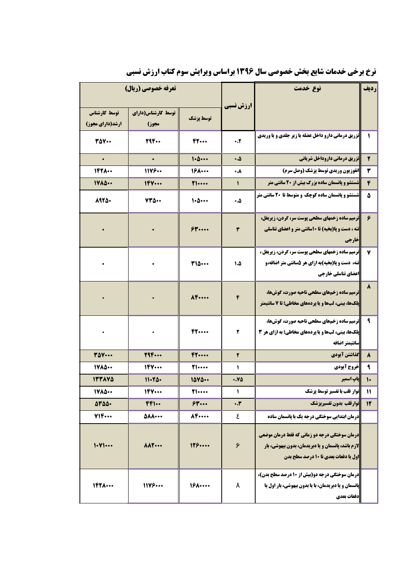|                                         | تعرفه خصوصي (ريال)          |                          |              | نوع خدمت                                                                                                                                                                | رديف                      |
|-----------------------------------------|-----------------------------|--------------------------|--------------|-------------------------------------------------------------------------------------------------------------------------------------------------------------------------|---------------------------|
| توسط كارشناس<br><b>ارشد(دارای مجوز)</b> | توسط کارشناس(دارای<br>مجوز) | توسط پزشک                | ارزش نسبی    |                                                                                                                                                                         |                           |
| <b>TAY</b>                              | 294                         | FT                       | $\ddotsc$    | <b>تزریق درمانی دارو داخل عضله یا زیر جلدی و یا وریدی</b>                                                                                                               | $\mathbf{I}$              |
| $\bullet$                               | $\bullet$                   | 1.0                      | ۵.۰          | تزريق درماني داروداخل شرياني                                                                                                                                            | $\mathbf{r}$              |
| $197$ $\cdots$                          | 11199                       | $19$ $\cdots$            | ۰.۸          | انفوزیون وریدی توسط پزشک (وصل سرم)                                                                                                                                      | ۳                         |
| 1400                                    | 1FV                         | 71                       | $\mathbf{I}$ | ستشو و پانسمان ساده بزرگ بیش از ۲۰ سانتی متر                                                                                                                            | ۴                         |
| 8925.                                   | $YY\Delta$                  | 1.0                      | ۵.۰          | <b>شستشو و پانسمان ساده کوچک و متوسط تا 20 سانتی متر</b>                                                                                                                | ۵                         |
|                                         |                             | $$$ $$$ $"$ $\cdots$ $"$ | ٣            | <b> ترمیم ساده زخمهای سطحی پوست سر، گردن، زیربغل،</b><br><b>تنه ، دست و پا(بخیه) تا ۱۰سانتی متر و اعضای تناسلی</b><br><b> خارجي</b>                                     | ۶                         |
|                                         | $\bullet$                   | <b>TIQ</b>               | 1.4          | <mark>ا</mark> ترمیم ساده زخمهای سطحی پوست سر، گردن، زیربغل ،<br><b>تنه، دست و پا(بخیه)به ازای هر ۵سانتی متر اضافه،و</b><br>اعضاي تناسلي خارجي                          | ٧                         |
|                                         | $\bullet$                   | $\Lambda$                | ۴            | ترمیم ساده زخمهای سطحی ناحیه صورت، گوشها،<br><b>پلکها، بینی، لبها و یا پردههای مخاطی؛ تا 7 سانتیمتر</b>                                                                 | ۸                         |
|                                         | $\bullet$                   | 47                       | ۲            | ترمیم ساده زخمهای سطحی ناحیه صورت، گوشها،<br><b>یلکها، بینی، لبها و یا پردههای مخاطی؛ به ازای هر 3</b><br> سانتيمتر اضافه                                               | ٩                         |
| <b>TAV</b>                              | 794                         | F1                       | ۲            | گذاشتن آیودی                                                                                                                                                            | ۸                         |
| 1400                                    | 1FY                         | <b>T1</b>                | 1            | خروج آيودي                                                                                                                                                              | ٩                         |
| 177870                                  | $11 - 70 -$                 | 1000                     | .80          | <b>یاپ اسمیر</b>                                                                                                                                                        | $\mathsf{L}$              |
| 1400                                    | 1FY                         | <b>T1</b>                | J.           | نوار قلب با تفسیر توسط پزشک                                                                                                                                             | $\boldsymbol{\mathsf{N}}$ |
| 0400.                                   | FF1                         | 54                       | $\cdot$ .۳   | نوارقلب بدون تفسيريزشك                                                                                                                                                  | 12                        |
| 714                                     | <b>AAA</b>                  | $A$ $F$                  | ٤            | <b>درمان ابتدایی سوختگی درجه یک با پانسمان ساده</b>                                                                                                                     |                           |
| 1.41                                    | AA                          | 119                      | ۶            | <mark>درمان سوختگی درجه دو زمانی که فقط درمان موضعی</mark><br><b> لازم باشد، پانسمان و یا دبریدمان، بدون بیهوشی، بار</b><br><b>اول یا دفعات بعدی تا 10 درصد سطح بدن</b> |                           |
| $197$ $\cdots$                          | 11Y9                        | $19$ $\cdots$            | ٨            | درمان سوختگی درجه دو(بیش از ۱۰ درصد سطح بدن)،<br><b>پانسمان و یا دبریدمان، با یا بدون بیهوشی، بار اول یا</b><br> دفعات بعدي                                             |                           |

**نرخ برخی خدمات شایع بخش خصوصی سال ۱۳۹۶ براساس ویرایش سوم کتاب ارزش نسبی**